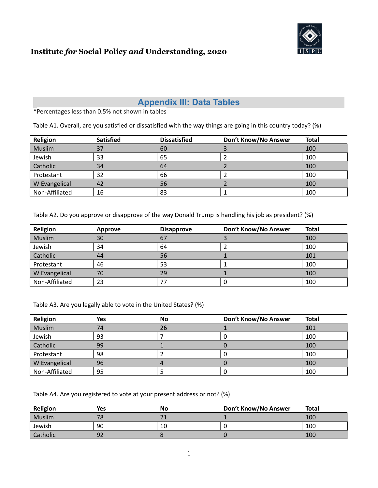

### **Appendix III: Data Tables**

\*Percentages less than 0.5% not shown in tables

Table A1. Overall, are you satisfied or dissatisfied with the way things are going in this country today? (%)

| Religion       | <b>Satisfied</b> | <b>Dissatisfied</b> | Don't Know/No Answer | <b>Total</b> |
|----------------|------------------|---------------------|----------------------|--------------|
| Muslim         | 37               | 60                  |                      | 100          |
| Jewish         | 33               | 65                  |                      | 100          |
| Catholic       | 34               | 64                  |                      | 100          |
| Protestant     | 32               | 66                  |                      | 100          |
| W Evangelical  | 42               | 56                  |                      | 100          |
| Non-Affiliated | 16               | 83                  |                      | 100          |

Table A2. Do you approve or disapprove of the way Donald Trump is handling his job as president? (%)

| Religion       | Approve | <b>Disapprove</b> | Don't Know/No Answer | <b>Total</b> |
|----------------|---------|-------------------|----------------------|--------------|
| Muslim         | 30      | 67                |                      | 100          |
| Jewish         | 34      | 64                |                      | 100          |
| Catholic       | 44      | 56                |                      | 101          |
| Protestant     | 46      | 53                |                      | 100          |
| W Evangelical  | 70      | 29                |                      | 100          |
| Non-Affiliated | 23      | 77                |                      | 100          |

Table A3. Are you legally able to vote in the United States? (%)

| Religion       | Yes | No | Don't Know/No Answer | <b>Total</b> |
|----------------|-----|----|----------------------|--------------|
| Muslim         | 74  | 26 |                      | 101          |
| Jewish         | 93  |    |                      | 100          |
| Catholic       | 99  |    |                      | 100          |
| Protestant     | 98  |    |                      | 100          |
| W Evangelical  | 96  |    |                      | 100          |
| Non-Affiliated | 95  |    |                      | 100          |

Table A4. Are you registered to vote at your present address or not? (%)

| Religion | Yes | No | Don't Know/No Answer | <b>Total</b> |
|----------|-----|----|----------------------|--------------|
| Muslim   | 78  |    |                      | 100          |
| Jewish   | 90  | 10 |                      | 100          |
| Catholic | 92  |    |                      | 100          |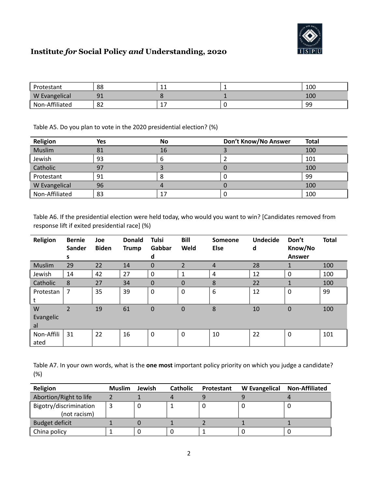

|                | 88               | <b>. .</b> | 100 |
|----------------|------------------|------------|-----|
| W Evangelical  | ۵1<br><u>J 1</u> |            | 100 |
| Non-Affiliated | 82               |            | 99  |

Table A5. Do you plan to vote in the 2020 presidential election? (%)

| Religion       | Yes | <b>No</b> | Don't Know/No Answer | <b>Total</b> |
|----------------|-----|-----------|----------------------|--------------|
| Muslim         | 81  | 16        |                      | 100          |
| Jewish         | 93  |           |                      | 101          |
| Catholic       | 97  |           |                      | 100          |
| Protestant     | 91  |           |                      | 99           |
| W Evangelical  | 96  |           |                      | 100          |
| Non-Affiliated | 83  |           |                      | 100          |

Table A6. If the presidential election were held today, who would you want to win? [Candidates removed from response lift if exited presidential race] (%)

| Religion   | <b>Bernie</b><br><b>Sander</b> | Joe<br><b>Biden</b> | <b>Donald</b><br><b>Trump</b> | <b>Tulsi</b><br>Gabbar | <b>Bill</b><br>Weld | <b>Someone</b><br><b>Else</b> | <b>Undecide</b><br>d | Don't<br>Know/No | <b>Total</b> |
|------------|--------------------------------|---------------------|-------------------------------|------------------------|---------------------|-------------------------------|----------------------|------------------|--------------|
|            | s                              |                     |                               | d                      |                     |                               |                      | <b>Answer</b>    |              |
| Muslim     | 29                             | 22                  | 14                            | $\Omega$               | $\overline{2}$      | $\overline{4}$                | 28                   |                  | 100          |
| Jewish     | 14                             | 42                  | 27                            | $\mathbf 0$            | $\mathbf 1$         | 4                             | 12                   | 0                | 100          |
| Catholic   | 8                              | 27                  | 34                            | $\mathbf 0$            | 0                   | 8                             | 22                   |                  | 100          |
| Protestan  | $\overline{7}$                 | 35                  | 39                            | $\mathbf 0$            | $\boldsymbol{0}$    | 6                             | 12                   | $\mathbf 0$      | 99           |
| t          |                                |                     |                               |                        |                     |                               |                      |                  |              |
| W          | $\overline{2}$                 | 19                  | 61                            | $\mathbf 0$            | $\mathbf 0$         | 8                             | 10                   | 0                | 100          |
| Evangelic  |                                |                     |                               |                        |                     |                               |                      |                  |              |
| al         |                                |                     |                               |                        |                     |                               |                      |                  |              |
| Non-Affili | 31                             | 22                  | 16                            | $\mathbf 0$            | $\mathbf 0$         | 10                            | 22                   | $\mathbf 0$      | 101          |
| ated       |                                |                     |                               |                        |                     |                               |                      |                  |              |

Table A7. In your own words, what is the **one most** important policy priority on which you judge a candidate? (%)

| Religion                               | <b>Muslim</b> | Jewish | <b>Catholic</b> | Protestant | W Evangelical Non-Affiliated |
|----------------------------------------|---------------|--------|-----------------|------------|------------------------------|
| Abortion/Right to life                 |               |        |                 |            |                              |
| Bigotry/discrimination<br>(not racism) |               |        |                 |            |                              |
| Budget deficit                         |               |        |                 |            |                              |
| China policy                           |               |        |                 |            |                              |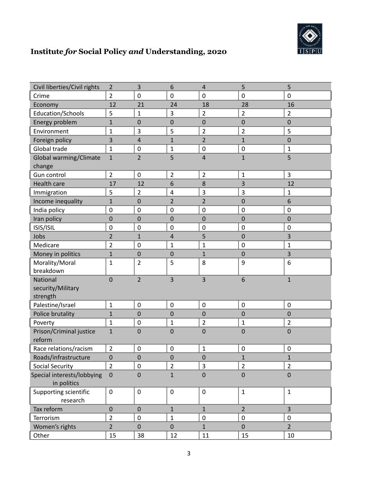

| Civil liberties/Civil rights              | $\overline{2}$          | 3                | 6                | $\overline{4}$          | 5                | 5                |
|-------------------------------------------|-------------------------|------------------|------------------|-------------------------|------------------|------------------|
| Crime                                     | $\overline{2}$          | $\mathbf 0$      | $\mathbf 0$      | $\boldsymbol{0}$        | $\boldsymbol{0}$ | $\mathbf 0$      |
| Economy                                   | 12                      | 21               | 24               | 18                      | 28               | 16               |
| Education/Schools                         | 5                       | $\mathbf 1$      | 3                | $\overline{2}$          | $\overline{2}$   | $\overline{2}$   |
| Energy problem                            | $\mathbf{1}$            | $\mathbf 0$      | 0                | $\mathbf 0$             | 0                | $\mathbf 0$      |
| Environment                               | $\mathbf 1$             | 3                | 5                | $\overline{2}$          | $\overline{2}$   | 5                |
| Foreign policy                            | 3                       | 4                | $\mathbf{1}$     | $\overline{2}$          | $\mathbf{1}$     | $\mathbf 0$      |
| Global trade                              | $\mathbf{1}$            | $\boldsymbol{0}$ | $\mathbf 1$      | $\mathbf 0$             | $\pmb{0}$        | $\mathbf{1}$     |
| Global warming/Climate<br>change          | $\mathbf 1$             | $\overline{2}$   | 5                | $\overline{4}$          | $\mathbf{1}$     | 5                |
| Gun control                               | $\overline{2}$          | $\mathbf 0$      | $\overline{2}$   | $\overline{2}$          | $\mathbf 1$      | 3                |
| <b>Health care</b>                        | 17                      | 12               | 6                | 8                       | 3                | 12               |
| Immigration                               | 5                       | $\overline{2}$   | $\pmb{4}$        | $\overline{\mathbf{3}}$ | $\mathbf{3}$     | $\mathbf 1$      |
| Income inequality                         | 1                       | $\mathbf 0$      | 2                | 2                       | 0                | 6                |
| India policy                              | $\mathbf 0$             | $\mathbf 0$      | $\mathbf 0$      | $\mathbf 0$             | $\mathbf 0$      | $\mathbf 0$      |
| Iran policy                               | $\mathbf 0$             | $\mathbf 0$      | $\mathbf 0$      | $\overline{0}$          | 0                | $\mathbf 0$      |
| ISIS/ISIL                                 | $\mathbf 0$             | $\mathbf 0$      | $\mathbf 0$      | $\mathbf 0$             | $\mathbf 0$      | $\mathbf 0$      |
| Jobs                                      | $\overline{\mathbf{c}}$ | $\mathbf 1$      | 4                | 5                       | 0                | 3                |
| Medicare                                  | $\overline{2}$          | $\mathbf 0$      | $\mathbf 1$      | $\mathbf{1}$            | $\mathbf 0$      | $\mathbf 1$      |
| Money in politics                         | $\mathbf{1}$            | $\mathbf 0$      | $\mathbf 0$      | $\mathbf{1}$            | $\overline{0}$   | 3                |
| Morality/Moral<br>breakdown               | $\mathbf 1$             | $\overline{2}$   | 5                | 8                       | 9                | 6                |
| National<br>security/Military<br>strength | $\mathbf 0$             | $\overline{2}$   | 3                | 3                       | 6                | $\mathbf 1$      |
| Palestine/Israel                          | $\mathbf 1$             | $\mathbf 0$      | $\boldsymbol{0}$ | $\mathbf 0$             | $\boldsymbol{0}$ | $\boldsymbol{0}$ |
| Police brutality                          | $\mathbf{1}$            | $\mathbf 0$      | $\mathbf 0$      | $\mathbf 0$             | 0                | $\mathbf 0$      |
| Poverty                                   | $\mathbf 1$             | $\mathbf 0$      | $\mathbf 1$      | $\overline{2}$          | $\mathbf 1$      | $\overline{2}$   |
| Prison/Criminal justice<br>reform         | $\mathbf 1$             | $\mathbf 0$      | $\mathbf 0$      | $\mathbf 0$             | $\mathbf 0$      | $\mathbf 0$      |
| Race relations/racism                     | $\overline{2}$          | $\mathbf 0$      | $\boldsymbol{0}$ | $\mathbf 1$             | $\pmb{0}$        | $\boldsymbol{0}$ |
| Roads/infrastructure                      | $\mathbf 0$             | $\mathbf 0$      | $\mathbf 0$      | $\boldsymbol{0}$        | $\mathbf{1}$     | $\mathbf{1}$     |
| <b>Social Security</b>                    | $\overline{2}$          | $\boldsymbol{0}$ | $\overline{2}$   | $\overline{3}$          | $\overline{2}$   | $\overline{2}$   |
| Special interests/lobbying<br>in politics | $\boldsymbol{0}$        | $\mathbf 0$      | $\mathbf{1}$     | $\mathbf 0$             | $\mathbf 0$      | $\mathbf 0$      |
| Supporting scientific<br>research         | $\pmb{0}$               | $\boldsymbol{0}$ | $\mathbf 0$      | $\mathbf 0$             | $\mathbf{1}$     | $\mathbf{1}$     |
| Tax reform                                | $\mathbf 0$             | $\mathbf 0$      | $\mathbf{1}$     | $\mathbf{1}$            | $\overline{2}$   | 3                |
| Terrorism                                 | $\overline{2}$          | $\pmb{0}$        | $\mathbf 1$      | $\pmb{0}$               | $\pmb{0}$        | $\boldsymbol{0}$ |
| Women's rights                            | $\overline{2}$          | $\mathbf 0$      | $\boldsymbol{0}$ | $\mathbf{1}$            | $\mathbf 0$      | $\overline{2}$   |
| Other                                     | 15                      | 38               | $12\,$           | $11\,$                  | 15               | 10               |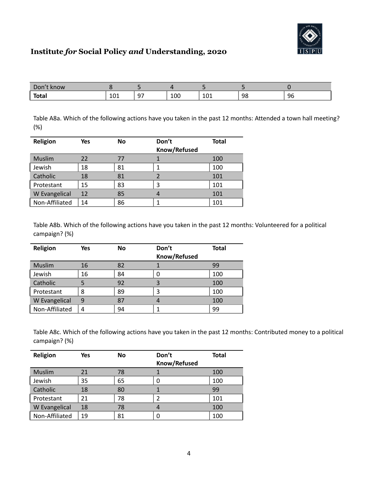

| $\n  On\n$<br>know<br>וטש. |            |                |     |              |    |    |
|----------------------------|------------|----------------|-----|--------------|----|----|
| <b>Total</b>               | 101<br>ᆚᄓᅩ | ~-<br><u>.</u> | 100 | 1 O 1<br>TOT | 98 | 96 |

Table A8a. Which of the following actions have you taken in the past 12 months: Attended a town hall meeting? (%)

| Religion       | Yes | <b>No</b> | Don't        | <b>Total</b> |
|----------------|-----|-----------|--------------|--------------|
|                |     |           | Know/Refused |              |
| <b>Muslim</b>  | 22  | 77        |              | 100          |
| Jewish         | 18  | 81        |              | 100          |
| Catholic       | 18  | 81        |              | 101          |
| Protestant     | 15  | 83        | 3            | 101          |
| W Evangelical  | 12  | 85        |              | 101          |
| Non-Affiliated | 14  | 86        |              | 101          |

Table A8b. Which of the following actions have you taken in the past 12 months: Volunteered for a political campaign? (%)

| Religion       | Yes | <b>No</b> | Don't        | <b>Total</b> |
|----------------|-----|-----------|--------------|--------------|
|                |     |           | Know/Refused |              |
| <b>Muslim</b>  | 16  | 82        |              | 99           |
| Jewish         | 16  | 84        |              | 100          |
| Catholic       | 5   | 92        | 3            | 100          |
| Protestant     | 8   | 89        | 3            | 100          |
| W Evangelical  | 9   | 87        |              | 100          |
| Non-Affiliated | 4   | 94        |              | 99           |

Table A8c. Which of the following actions have you taken in the past 12 months: Contributed money to a political campaign? (%)

| Religion       | Yes | <b>No</b> | Don't        | <b>Total</b> |
|----------------|-----|-----------|--------------|--------------|
|                |     |           | Know/Refused |              |
| <b>Muslim</b>  | 21  | 78        |              | 100          |
| Jewish         | 35  | 65        | 0            | 100          |
| Catholic       | 18  | 80        |              | 99           |
| Protestant     | 21  | 78        |              | 101          |
| W Evangelical  | 18  | 78        | 4            | 100          |
| Non-Affiliated | 19  | 81        | 0            | 100          |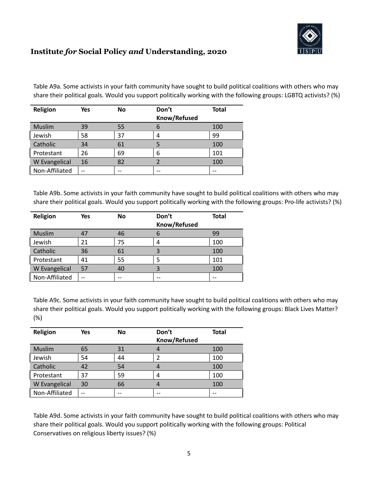

Table A9a. Some activists in your faith community have sought to build political coalitions with others who may share their political goals. Would you support politically working with the following groups: LGBTQ activists? (%)

| Religion             | Yes | <b>No</b> | Don't        | <b>Total</b> |
|----------------------|-----|-----------|--------------|--------------|
|                      |     |           | Know/Refused |              |
| <b>Muslim</b>        | 39  | 55        | 6            | 100          |
| Jewish               | 58  | 37        | 4            | 99           |
| Catholic             | 34  | 61        |              | 100          |
| Protestant           | 26  | 69        | 6            | 101          |
| <b>W</b> Evangelical | 16  | 82        |              | 100          |
| Non-Affiliated       | --  |           | --           |              |

Table A9b. Some activists in your faith community have sought to build political coalitions with others who may share their political goals. Would you support politically working with the following groups: Pro-life activists? (%)

| Religion             | Yes | <b>No</b> | Don't        | <b>Total</b> |
|----------------------|-----|-----------|--------------|--------------|
|                      |     |           | Know/Refused |              |
| <b>Muslim</b>        |     | 46        |              | 99           |
| Jewish               | 21  | 75        | 4            | 100          |
| Catholic             | 36  | 61        |              | 100          |
| Protestant           | 41  | 55        | 5            | 101          |
| <b>W</b> Evangelical | 57  | 40        |              | 100          |
| Non-Affiliated       | --  |           | --           |              |

Table A9c. Some activists in your faith community have sought to build political coalitions with others who may share their political goals. Would you support politically working with the following groups: Black Lives Matter? (%)

| Religion       | Yes | <b>No</b> | Don't         | <b>Total</b> |
|----------------|-----|-----------|---------------|--------------|
|                |     |           | Know/Refused  |              |
| <b>Muslim</b>  | 65  | 31        |               | 100          |
| Jewish         | 54  | 44        | $\mathcal{P}$ | 100          |
| Catholic       | 42  | 54        |               | 100          |
| Protestant     | 37  | 59        | 4             | 100          |
| W Evangelical  | 30  | 66        |               | 100          |
| Non-Affiliated | --  |           |               | --           |

Table A9d. Some activists in your faith community have sought to build political coalitions with others who may share their political goals. Would you support politically working with the following groups: Political Conservatives on religious liberty issues? (%)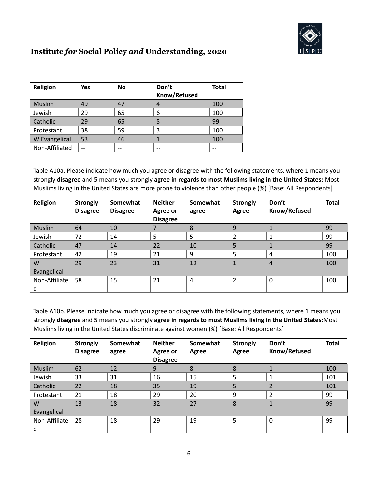

| Religion       | Yes | <b>No</b> | Don't        | <b>Total</b> |
|----------------|-----|-----------|--------------|--------------|
|                |     |           | Know/Refused |              |
| <b>Muslim</b>  | 49  | 47        |              | 100          |
| Jewish         | 29  | 65        | 6            | 100          |
| Catholic       | 29  | 65        |              | 99           |
| Protestant     | 38  | 59        | ς            | 100          |
| W Evangelical  | 53  | 46        |              | 100          |
| Non-Affiliated | --  | --        |              | --           |

Table A10a. Please indicate how much you agree or disagree with the following statements, where 1 means you strongly **disagree** and 5 means you strongly **agree in regards to most Muslims living in the United States:** Most Muslims living in the United States are more prone to violence than other people (%) [Base: All Respondents]

| Religion      | <b>Strongly</b><br><b>Disagree</b> | Somewhat<br><b>Disagree</b> | <b>Neither</b><br>Agree or<br><b>Disagree</b> | Somewhat<br>agree | <b>Strongly</b><br>Agree | Don't<br>Know/Refused | <b>Total</b> |
|---------------|------------------------------------|-----------------------------|-----------------------------------------------|-------------------|--------------------------|-----------------------|--------------|
| <b>Muslim</b> | 64                                 | 10                          |                                               | 8                 | 9                        |                       | 99           |
| Jewish        | 72                                 | 14                          | 5                                             | 5                 | 2                        |                       | 99           |
| Catholic      | 47                                 | 14                          | 22                                            | 10                | 5                        |                       | 99           |
| Protestant    | 42                                 | 19                          | 21                                            | 9                 | 5                        | 4                     | 100          |
| W             | 29                                 | 23                          | 31                                            | 12                |                          | 4                     | 100          |
| Evangelical   |                                    |                             |                                               |                   |                          |                       |              |
| Non-Affiliate | 58                                 | 15                          | 21                                            | 4                 | 2                        | $\Omega$              | 100          |
| d             |                                    |                             |                                               |                   |                          |                       |              |

Table A10b. Please indicate how much you agree or disagree with the following statements, where 1 means you strongly **disagree** and 5 means you strongly **agree in regards to most Muslims living in the United States:**Most Muslims living in the United States discriminate against women (%) [Base: All Respondents]

| Religion      | <b>Strongly</b><br><b>Disagree</b> | Somewhat<br>agree | <b>Neither</b><br>Agree or<br><b>Disagree</b> | Somewhat<br>Agree | <b>Strongly</b><br>Agree | Don't<br>Know/Refused | <b>Total</b> |
|---------------|------------------------------------|-------------------|-----------------------------------------------|-------------------|--------------------------|-----------------------|--------------|
| Muslim        | 62                                 | 12                | 9                                             | 8                 | 8                        |                       | 100          |
| Jewish        | 33                                 | 31                | 16                                            | 15                | 5                        |                       | 101          |
| Catholic      | 22                                 | 18                | 35                                            | 19                | 5                        |                       | 101          |
| Protestant    | 21                                 | 18                | 29                                            | 20                | 9                        | っ                     | 99           |
| W             | 13                                 | 18                | 32                                            | 27                | 8                        |                       | 99           |
| Evangelical   |                                    |                   |                                               |                   |                          |                       |              |
| Non-Affiliate | 28                                 | 18                | 29                                            | 19                | 5                        | $\Omega$              | 99           |
| d             |                                    |                   |                                               |                   |                          |                       |              |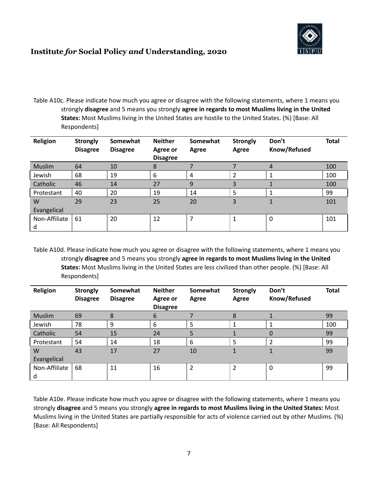

Table A10c. Please indicate how much you agree or disagree with the following statements, where 1 means you strongly **disagree** and 5 means you strongly **agree in regards to most Muslims living in the United States:** Most Muslims living in the United States are hostile to the United States. (%) [Base: All Respondents]

| Religion      | <b>Strongly</b><br><b>Disagree</b> | Somewhat<br><b>Disagree</b> | <b>Neither</b><br>Agree or<br><b>Disagree</b> | Somewhat<br>Agree | <b>Strongly</b><br>Agree | Don't<br>Know/Refused | <b>Total</b> |
|---------------|------------------------------------|-----------------------------|-----------------------------------------------|-------------------|--------------------------|-----------------------|--------------|
| <b>Muslim</b> | 64                                 | 10                          | 8                                             |                   |                          | 4                     | 100          |
| Jewish        | 68                                 | 19                          | 6                                             | 4                 | 2                        |                       | 100          |
| Catholic      | 46                                 | 14                          | 27                                            | 9                 | 3                        |                       | 100          |
| Protestant    | 40                                 | 20                          | 19                                            | 14                | 5                        |                       | 99           |
| W             | 29                                 | 23                          | 25                                            | 20                | 3                        |                       | 101          |
| Evangelical   |                                    |                             |                                               |                   |                          |                       |              |
| Non-Affiliate | 61                                 | 20                          | 12                                            | ⇁                 |                          | $\Omega$              | 101          |
| d             |                                    |                             |                                               |                   |                          |                       |              |

Table A10d. Please indicate how much you agree or disagree with the following statements, where 1 means you strongly **disagree** and 5 means you strongly **agree in regards to most Muslims living in the United States:** Most Muslims living in the United States are less civilized than other people. (%) [Base: All Respondents]

| Religion      | <b>Strongly</b><br><b>Disagree</b> | Somewhat<br><b>Disagree</b> | <b>Neither</b><br>Agree or<br><b>Disagree</b> | Somewhat<br>Agree | <b>Strongly</b><br>Agree | Don't<br>Know/Refused | <b>Total</b> |
|---------------|------------------------------------|-----------------------------|-----------------------------------------------|-------------------|--------------------------|-----------------------|--------------|
| <b>Muslim</b> | 69                                 | 8                           | 6                                             |                   | 8                        |                       | 99           |
| Jewish        | 78                                 | 9                           | 6                                             | 5                 | 1                        |                       | 100          |
| Catholic      | 54                                 | 15                          | 24                                            | 5                 |                          | $\mathbf{0}$          | 99           |
| Protestant    | 54                                 | 14                          | 18                                            | 6                 | 5                        | $\overline{2}$        | 99           |
| W             | 43                                 | 17                          | 27                                            | 10                |                          |                       | 99           |
| Evangelical   |                                    |                             |                                               |                   |                          |                       |              |
| Non-Affiliate | 68                                 | 11                          | 16                                            | $\overline{2}$    | $\overline{2}$           | $\Omega$              | 99           |
| d             |                                    |                             |                                               |                   |                          |                       |              |

Table A10e. Please indicate how much you agree or disagree with the following statements, where 1 means you strongly **disagree** and 5 means you strongly **agree in regards to most Muslims living in the United States:** Most Muslims living in the United States are partially responsible for acts of violence carried out by other Muslims. (%) [Base: All Respondents]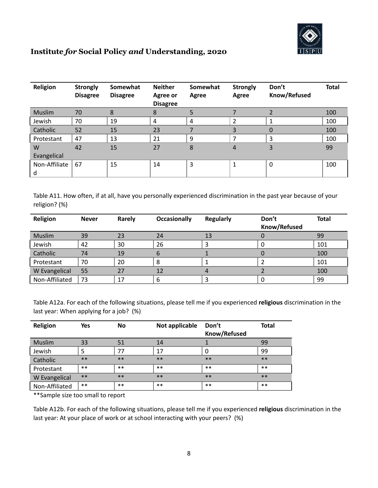

| Religion           | <b>Strongly</b><br><b>Disagree</b> | Somewhat<br><b>Disagree</b> | <b>Neither</b><br>Agree or<br><b>Disagree</b> | Somewhat<br>Agree | <b>Strongly</b><br>Agree | Don't<br>Know/Refused | <b>Total</b> |
|--------------------|------------------------------------|-----------------------------|-----------------------------------------------|-------------------|--------------------------|-----------------------|--------------|
| Muslim             | 70                                 | 8                           | 8                                             |                   |                          |                       | 100          |
| Jewish             | 70                                 | 19                          | 4                                             | 4                 | 2                        |                       | 100          |
| Catholic           | 52                                 | 15                          | 23                                            |                   | 3                        | 0                     | 100          |
| Protestant         | 47                                 | 13                          | 21                                            | 9                 | ⇁                        | 3                     | 100          |
| W                  | 42                                 | 15                          | 27                                            | 8                 | 4                        | 3                     | 99           |
| Evangelical        |                                    |                             |                                               |                   |                          |                       |              |
| Non-Affiliate<br>d | 67                                 | 15                          | 14                                            | 3                 |                          | 0                     | 100          |

Table A11. How often, if at all, have you personally experienced discrimination in the past year because of your religion? (%)

| Religion       | <b>Never</b> | Rarely | Occasionally | <b>Regularly</b> | Don't               | <b>Total</b> |
|----------------|--------------|--------|--------------|------------------|---------------------|--------------|
|                |              |        |              |                  | <b>Know/Refused</b> |              |
| Muslim         | 39           | 23     | 24           | 13               |                     | 99           |
| Jewish         | 42           | 30     | 26           |                  | 0                   | 101          |
| Catholic       | 74           | 19     | ь            |                  |                     | 100          |
| Protestant     | 70           | 20     | 8            |                  |                     | 101          |
| W Evangelical  | 55           | 27     | 12           |                  |                     | 100          |
| Non-Affiliated | 73           | 17     | 6            |                  | 0                   | 99           |

Table A12a. For each of the following situations, please tell me if you experienced **religious** discrimination in the last year: When applying for a job? (%)

| Religion       | <b>Yes</b> | <b>No</b> | Not applicable | Don't<br><b>Know/Refused</b> | <b>Total</b> |
|----------------|------------|-----------|----------------|------------------------------|--------------|
| Muslim         | 33         | 51        | 14             |                              | 99           |
| Jewish         | 5          | 77        | 17             |                              | 99           |
| Catholic       | $***$      | $***$     | $***$          | $***$                        | $***$        |
| Protestant     | $***$      | $***$     | $***$          | $***$                        | $***$        |
| W Evangelical  | $***$      | $***$     | $***$          | $***$                        | $***$        |
| Non-Affiliated | $***$      | $***$     | $***$          | $***$                        | $***$        |

\*\*Sample size too small to report

Table A12b. For each of the following situations, please tell me if you experienced **religious** discrimination in the last year: At your place of work or at school interacting with your peers? (%)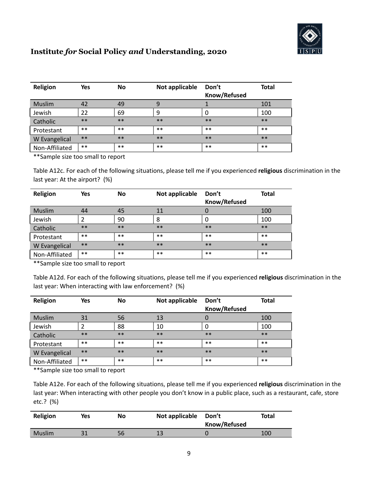

| Religion       | <b>Yes</b> | <b>No</b> | Not applicable | Don't<br>Know/Refused | <b>Total</b> |
|----------------|------------|-----------|----------------|-----------------------|--------------|
| Muslim         | 42         | 49        | 9              |                       | 101          |
| Jewish         | 22         | 69        | 9              |                       | 100          |
| Catholic       | $***$      | $***$     | $***$          | $**$                  | $***$        |
| Protestant     | $***$      | $***$     | $***$          | $***$                 | $***$        |
| W Evangelical  | $***$      | $**$      | $***$          | $***$                 | $***$        |
| Non-Affiliated | $***$      | $***$     | $***$          | $***$                 | $***$        |

\*\*Sample size too small to report

Table A12c. For each of the following situations, please tell me if you experienced **religious** discrimination in the last year: At the airport? (%)

| Religion       | <b>Yes</b> | <b>No</b> | Not applicable | Don't<br><b>Know/Refused</b> | <b>Total</b> |
|----------------|------------|-----------|----------------|------------------------------|--------------|
| Muslim         | 44         | 45        | 11             | 0                            | 100          |
| Jewish         |            | 90        | 8              | 0                            | 100          |
| Catholic       | $***$      | $***$     | $***$          | $***$                        | $***$        |
| Protestant     | $***$      | $***$     | $***$          | $***$                        | $***$        |
| W Evangelical  | $***$      | $**$      | $***$          | $***$                        | $***$        |
| Non-Affiliated | $***$      | $***$     | $***$          | $***$                        | $***$        |

\*\*Sample size too small to report

Table A12d. For each of the following situations, please tell me if you experienced **religious** discrimination in the last year: When interacting with law enforcement? (%)

| Religion       | Yes   | <b>No</b> | Not applicable | Don't<br>Know/Refused | <b>Total</b> |
|----------------|-------|-----------|----------------|-----------------------|--------------|
| Muslim         | 31    | 56        | 13             | 0                     | 100          |
| Jewish         |       | 88        | 10             |                       | 100          |
| Catholic       | $***$ | $***$     | $***$          | $***$                 | $***$        |
| Protestant     | $***$ | $***$     | $***$          | $***$                 | $***$        |
| W Evangelical  | $***$ | $***$     | $***$          | $***$                 | $***$        |
| Non-Affiliated | $***$ | $***$     | $***$          | $***$                 | $***$        |

\*\*Sample size too small to report

Table A12e. For each of the following situations, please tell me if you experienced **religious** discrimination in the last year: When interacting with other people you don't know in a public place, such as a restaurant, cafe, store etc.? (%)

| Religion      | Yes | No | Not applicable Don't | Know/Refused | <b>Total</b> |
|---------------|-----|----|----------------------|--------------|--------------|
| <b>Muslim</b> |     | 56 | 12                   |              | 100          |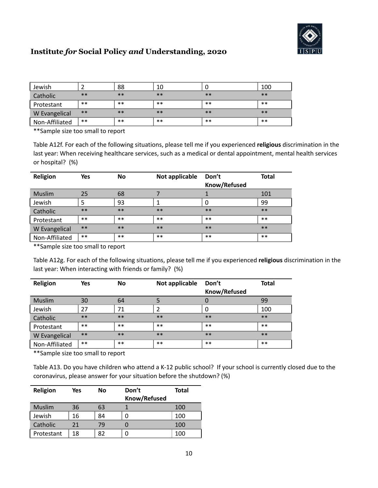

| Jewish         |       | 88    | 10    |       | 100   |
|----------------|-------|-------|-------|-------|-------|
| Catholic       | $***$ | $***$ | $***$ | $***$ | $***$ |
| Protestant     | $***$ | $***$ | $***$ | $***$ | $***$ |
| W Evangelical  | $***$ | $***$ | $***$ | $***$ | $***$ |
| Non-Affiliated | $***$ | $***$ | $***$ | $***$ | $***$ |

\*\*Sample size too small to report

Table A12f. For each of the following situations, please tell me if you experienced **religious** discrimination in the last year: When receiving healthcare services, such as a medical or dental appointment, mental health services or hospital? (%)

| Religion       | <b>Yes</b> | <b>No</b> | Not applicable | Don't<br><b>Know/Refused</b> | <b>Total</b> |
|----------------|------------|-----------|----------------|------------------------------|--------------|
| Muslim         | 25         | 68        |                |                              | 101          |
| Jewish         |            | 93        | 1              |                              | 99           |
| Catholic       | $***$      | $***$     | $***$          | $***$                        | $***$        |
| Protestant     | $***$      | $***$     | $***$          | $***$                        | $***$        |
| W Evangelical  | $***$      | $***$     | $**$           | $***$                        | $***$        |
| Non-Affiliated | $***$      | $***$     | $***$          | $***$                        | $***$        |

\*\*Sample size too small to report

Table A12g. For each of the following situations, please tell me if you experienced **religious** discrimination in the last year: When interacting with friends or family? (%)

| Religion             | Yes   | No    | Not applicable | Don't<br>Know/Refused | <b>Total</b> |
|----------------------|-------|-------|----------------|-----------------------|--------------|
|                      |       |       |                |                       |              |
| Muslim               | 30    | 64    | 5              |                       | 99           |
| Jewish               | 27    | 71    |                | 0                     | 100          |
| Catholic             | $***$ | $***$ | $***$          | $***$                 | $***$        |
| Protestant           | $***$ | $***$ | $***$          | $***$                 | $***$        |
| <b>W</b> Evangelical | $***$ | $***$ | $***$          | $***$                 | $***$        |
| Non-Affiliated       | $***$ | $***$ | $***$          | $***$                 | $***$        |

\*\*Sample size too small to report

Table A13. Do you have children who attend a K-12 public school? If your school is currently closed due to the coronavirus, please answer for your situation before the shutdown? (%)

| Religion   | Yes | No | Don't        | Total |
|------------|-----|----|--------------|-------|
|            |     |    | Know/Refused |       |
| Muslim     | 36  | 63 |              | 100   |
| Jewish     | 16  | 84 | 0            | 100   |
| Catholic   | 21  | 79 |              | 100   |
| Protestant | 18  | 82 | 0            | 100   |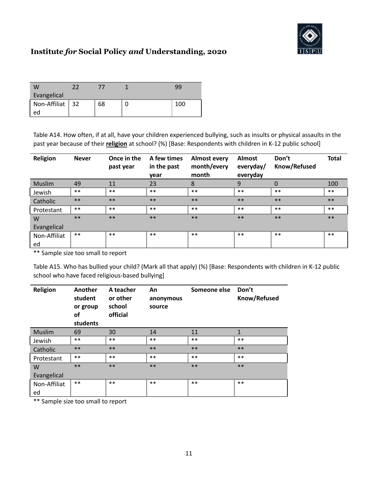

|                 |  | 99    |
|-----------------|--|-------|
| Evangelical     |  |       |
| Non-Affiliat 32 |  | 100 l |
| ec              |  |       |

Table A14. How often, if at all, have your children experienced bullying, such as insults or physical assaults in the past year because of their **religion** at school? (%) [Base: Respondents with children in K-12 public school]

| Religion      | <b>Never</b> | Once in the<br>past year | A few times<br>in the past<br>year | <b>Almost every</b><br>month/every<br>month | <b>Almost</b><br>everyday/<br>everyday | Don't<br>Know/Refused | <b>Total</b> |
|---------------|--------------|--------------------------|------------------------------------|---------------------------------------------|----------------------------------------|-----------------------|--------------|
| <b>Muslim</b> | 49           | 11                       | 23                                 | 8                                           | 9                                      | 0                     | 100          |
| Jewish        | $***$        | $***$                    | $***$                              | $***$                                       | $***$                                  | $***$                 | $***$        |
| Catholic      | $***$        | $***$                    | $***$                              | $***$                                       | $***$                                  | $***$                 | $***$        |
| Protestant    | $***$        | $***$                    | $***$                              | $***$                                       | $***$                                  | $***$                 | $***$        |
| W             | $***$        | $***$                    | $***$                              | $***$                                       | $***$                                  | $***$                 | $***$        |
| Evangelical   |              |                          |                                    |                                             |                                        |                       |              |
| Non-Affiliat  | $***$        | $***$                    | $***$                              | $***$                                       | $***$                                  | $***$                 | $***$        |
| ed            |              |                          |                                    |                                             |                                        |                       |              |

\*\* Sample size too small to report

Table A15. Who has bullied your child? (Mark all that apply) (%) [Base: Respondents with children in K-12 public school who have faced religious-based bullying]

| Religion      | Another<br>student<br>or group<br>οf<br>students | A teacher<br>or other<br>school<br>official | An<br>anonymous<br>source | Someone else | Don't<br>Know/Refused |
|---------------|--------------------------------------------------|---------------------------------------------|---------------------------|--------------|-----------------------|
| <b>Muslim</b> | 69                                               | 30                                          | 14                        | 11           | 1                     |
| Jewish        | $***$                                            | $***$                                       | $***$                     | $***$        | $***$                 |
| Catholic      | $***$                                            | $***$                                       | $**$                      | $**$         | $**$                  |
| Protestant    | $***$                                            | $***$                                       | $***$                     | $***$        | $***$                 |
| W             | $***$                                            | $***$                                       | $***$                     | $**$         | $***$                 |
| Evangelical   |                                                  |                                             |                           |              |                       |
| Non-Affiliat  | $***$                                            | $***$                                       | $***$                     | $***$        | $***$                 |
| ed            |                                                  |                                             |                           |              |                       |

\*\* Sample size too small to report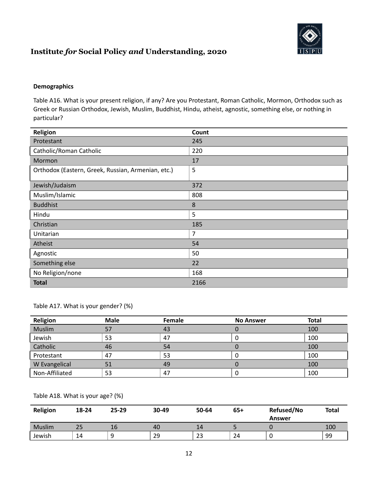

#### **Demographics**

Table A16. What is your present religion, if any? Are you Protestant, Roman Catholic, Mormon, Orthodox such as Greek or Russian Orthodox, Jewish, Muslim, Buddhist, Hindu, atheist, agnostic, something else, or nothing in particular?

| Religion                                           | Count |
|----------------------------------------------------|-------|
| Protestant                                         | 245   |
| Catholic/Roman Catholic                            | 220   |
| Mormon                                             | 17    |
| Orthodox (Eastern, Greek, Russian, Armenian, etc.) | 5     |
| Jewish/Judaism                                     | 372   |
| Muslim/Islamic                                     | 808   |
| <b>Buddhist</b>                                    | 8     |
| Hindu                                              | 5     |
| Christian                                          | 185   |
| Unitarian                                          | 7     |
| Atheist                                            | 54    |
| Agnostic                                           | 50    |
| Something else                                     | 22    |
| No Religion/none                                   | 168   |
| <b>Total</b>                                       | 2166  |

Table A17. What is your gender? (%)

| Religion       | <b>Male</b> | Female | <b>No Answer</b> | <b>Total</b> |
|----------------|-------------|--------|------------------|--------------|
| Muslim         | 57          | 43     |                  | 100          |
| Jewish         | 53          | 47     | U                | 100          |
| Catholic       | 46          | 54     |                  | 100          |
| Protestant     | 47          | 53     | U                | 100          |
| W Evangelical  | 51          | 49     |                  | 100          |
| Non-Affiliated | 53          | 47     | U                | 100          |

#### Table A18. What is your age? (%)

| Religion      | 18-24 | $25 - 29$ | 30-49 | 50-64 | $65+$ | Refused/No<br>Answer | <b>Total</b> |
|---------------|-------|-----------|-------|-------|-------|----------------------|--------------|
| <b>Muslim</b> | 25    | 16        | 40    | 14    |       |                      | 100          |
| Jewish        | 14    |           | 29    | 23    | 24    | ◡                    | 99           |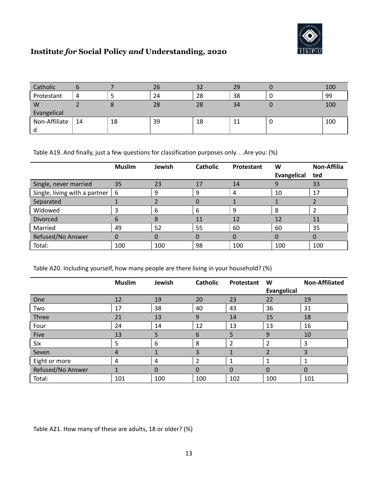

| Catholic      |    |    | 26 | 32 | 29 |   | 100 |  |  |
|---------------|----|----|----|----|----|---|-----|--|--|
| Protestant    | 4  |    | 24 | 28 | 38 | U | 99  |  |  |
| W             |    |    | 28 | 28 | 34 |   | 100 |  |  |
| Evangelical   |    |    |    |    |    |   |     |  |  |
| Non-Affiliate | 14 | 18 | 39 | 18 | 11 | U | 100 |  |  |
|               |    |    |    |    |    |   |     |  |  |

Table A19. And finally, just a few questions for classification purposes only. . .Are you: (%)

|                               | <b>Muslim</b> | Jewish | <b>Catholic</b> | Protestant | W<br><b>Evangelical</b> | <b>Non-Affilia</b><br>ted |
|-------------------------------|---------------|--------|-----------------|------------|-------------------------|---------------------------|
| Single, never married         | 35            | 23     | 17              | 14         |                         | 33                        |
| Single, living with a partner | 6             | 9      | 9               | 4          | 10                      | 17                        |
| Separated                     |               |        |                 |            |                         |                           |
| Widowed                       | 3             | 6      | 6               | 9          | 8                       |                           |
| <b>Divorced</b>               | 6             | 8      | 11              | 12         | 12                      |                           |
| Married                       | 49            | 52     | 55              | 60         | 60                      | 35                        |
| Refused/No Answer             |               | 0      |                 |            |                         |                           |
| Total:                        | 100           | 100    | 98              | 100        | 100                     | 100                       |

Table A20. Including yourself, how many people are there living in your household? (%)

|                   | <b>Muslim</b> | Jewish   | <b>Catholic</b> | Protestant     | W                  | <b>Non-Affiliated</b> |
|-------------------|---------------|----------|-----------------|----------------|--------------------|-----------------------|
|                   |               |          |                 |                | <b>Evangelical</b> |                       |
| One               | 12            | 19       | 20              | 23             | 22                 | 19                    |
| Two               | 17            | 38       | 40              | 43             | 36                 | 31                    |
| Three             | 21            | 13       | 9               | 14             | 15                 | 18                    |
| Four              | 24            | 14       | 12              | 13             | 13                 | 16                    |
| Five              | 13            | 5        | 6               | 5              | 9                  | 10                    |
| Six               | 5             | 6        | 8               | $\overline{2}$ | 2                  | 3                     |
| Seven             | 4             |          | 3               |                | 2                  | 3                     |
| Eight or more     | 4             | 4        | $\overline{2}$  |                | 1                  |                       |
| Refused/No Answer |               | $\Omega$ | $\Omega$        | 0              | $\Omega$           | 0                     |
| Total:            | 101           | 100      | 100             | 102            | 100                | 101                   |

Table A21. How many of these are adults, 18 or older? (%)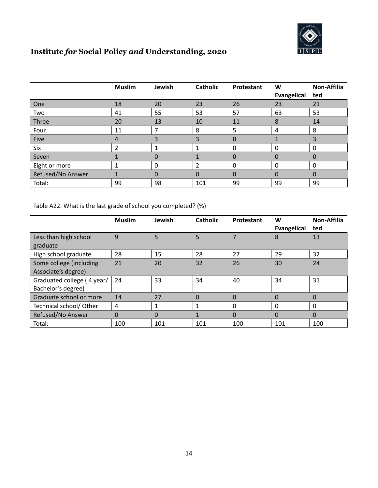

|                   | <b>Muslim</b>  | Jewish   | <b>Catholic</b> | Protestant  | W              | <b>Non-Affilia</b> |
|-------------------|----------------|----------|-----------------|-------------|----------------|--------------------|
|                   |                |          |                 |             | Evangelical    | ted                |
| One               | 18             | 20       | 23              | 26          | 23             | 21                 |
| Two               | 41             | 55       | 53              | 57          | 63             | 53                 |
| Three             | 20             | 13       | 10              | 11          | 8              | 14                 |
| Four              | 11             |          | 8               | 5           | $\overline{4}$ | 8                  |
| Five              | 4              | 3        | 3               | 0           |                |                    |
| Six               | $\overline{2}$ |          |                 | 0           | $\mathbf{0}$   | $\Omega$           |
| Seven             |                | 0        |                 | 0           | 0              |                    |
| Eight or more     |                | $\Omega$ | $\overline{2}$  | $\mathbf 0$ | $\Omega$       | $\Omega$           |
| Refused/No Answer |                | $\Omega$ | 0               | 0           | 0              | 0                  |
| Total:            | 99             | 98       | 101             | 99          | 99             | 99                 |

Table A22. What is the last grade of school you completed? (%)

|                                                  | <b>Muslim</b> | Jewish   | <b>Catholic</b> | Protestant | W<br><b>Evangelical</b> | <b>Non-Affilia</b><br>ted |
|--------------------------------------------------|---------------|----------|-----------------|------------|-------------------------|---------------------------|
| Less than high school<br>graduate                | 9             | 5        | 5               |            | 8                       | 13                        |
| High school graduate                             | 28            | 15       | 28              | 27         | 29                      | 32                        |
| Some college (including<br>Associate's degree)   | 21            | 20       | 32              | 26         | 30                      | 24                        |
| Graduated college (4 year/<br>Bachelor's degree) | 24            | 33       | 34              | 40         | 34                      | 31                        |
| Graduate school or more                          | 14            | 27       | $\Omega$        | 0          | $\Omega$                | $\Omega$                  |
| Technical school/ Other                          | 4             |          |                 | 0          | 0                       | 0                         |
| Refused/No Answer                                | $\Omega$      | $\Omega$ |                 | $\Omega$   | $\Omega$                | $\Omega$                  |
| Total:                                           | 100           | 101      | 101             | 100        | 101                     | 100                       |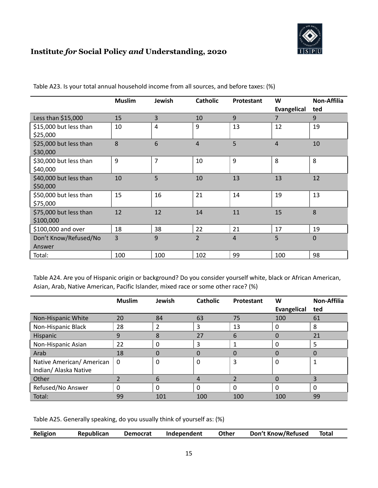

|                                     | <b>Muslim</b> | Jewish         | <b>Catholic</b> | <b>Protestant</b> | W<br><b>Evangelical</b> | <b>Non-Affilia</b><br>ted |
|-------------------------------------|---------------|----------------|-----------------|-------------------|-------------------------|---------------------------|
| Less than \$15,000                  | 15            | $\overline{3}$ | 10              | 9                 | 7                       | 9                         |
| \$15,000 but less than<br>\$25,000  | 10            | 4              | 9               | 13                | 12                      | 19                        |
| \$25,000 but less than<br>\$30,000  | 8             | 6              | 4               | 5                 | $\overline{4}$          | 10                        |
| \$30,000 but less than<br>\$40,000  | 9             | $\overline{7}$ | 10              | 9                 | 8                       | 8                         |
| \$40,000 but less than<br>\$50,000  | 10            | 5              | 10              | 13                | 13                      | 12                        |
| \$50,000 but less than<br>\$75,000  | 15            | 16             | 21              | 14                | 19                      | 13                        |
| \$75,000 but less than<br>\$100,000 | 12            | 12             | 14              | 11                | 15                      | 8                         |
| \$100,000 and over                  | 18            | 38             | 22              | 21                | 17                      | 19                        |
| Don't Know/Refused/No<br>Answer     | 3             | 9              | $\overline{2}$  | 4                 | 5                       | 0                         |
| Total:                              | 100           | 100            | 102             | 99                | 100                     | 98                        |

Table A23. Is your total annual household income from all sources, and before taxes: (%)

Table A24. Are you of Hispanic origin or background? Do you consider yourself white, black or African American, Asian, Arab, Native American, Pacific Islander, mixed race or some other race? (%)

|                           | <b>Muslim</b> | Jewish   | <b>Catholic</b> | Protestant | W                  | <b>Non-Affilia</b> |
|---------------------------|---------------|----------|-----------------|------------|--------------------|--------------------|
|                           |               |          |                 |            | <b>Evangelical</b> | ted                |
| Non-Hispanic White        | 20            | 84       | 63              | 75         | 100                | 61                 |
| Non-Hispanic Black        | 28            | 2        | 3               | 13         | 0                  | 8                  |
| Hispanic                  | 9             | 8        | 27              | 6          |                    | 21                 |
| Non-Hispanic Asian        | 22            | $\Omega$ | 3               |            | 0                  | 5                  |
| Arab                      | 18            | O        | 0               | U          | 0                  |                    |
| Native American/ American | - 0           | $\Omega$ | $\Omega$        | 3          | 0                  |                    |
| Indian/ Alaska Native     |               |          |                 |            |                    |                    |
| Other                     |               | 6        | 4               |            | 0                  |                    |
| Refused/No Answer         |               | $\Omega$ | 0               | 0          | 0                  |                    |
| Total:                    | 99            | 101      | 100             | 100        | 100                | 99                 |

Table A25. Generally speaking, do you usually think of yourself as: (%)

| Religion | Republican | <b>Democrat</b> | Independent | Other | Don't Know/Refused | Total |  |
|----------|------------|-----------------|-------------|-------|--------------------|-------|--|
|----------|------------|-----------------|-------------|-------|--------------------|-------|--|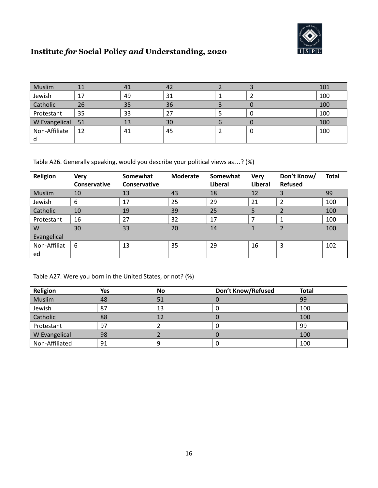

| Muslim           | 11 | 41 | 42 |   | 101 |
|------------------|----|----|----|---|-----|
| Jewish           | 17 | 49 | 31 |   | 100 |
| Catholic         | 26 | 35 | 36 |   | 100 |
| Protestant       | 35 | 33 |    |   | 100 |
| W Evangelical 51 |    | 13 | 30 |   | 100 |
| Non-Affiliate    | 12 | 41 | 45 | 0 | 100 |
|                  |    |    |    |   |     |

Table A26. Generally speaking, would you describe your political views as…? (%)

| Religion      | <b>Very</b>         | Somewhat            | <b>Moderate</b> | Somewhat | <b>Very</b> | Don't Know/    | <b>Total</b> |
|---------------|---------------------|---------------------|-----------------|----------|-------------|----------------|--------------|
|               | <b>Conservative</b> | <b>Conservative</b> |                 | Liberal  | Liberal     | <b>Refused</b> |              |
| <b>Muslim</b> | 10                  | 13                  | 43              | 18       | 12          |                | 99           |
| Jewish        | 6                   | 17                  | 25              | 29       | 21          |                | 100          |
| Catholic      | 10                  | 19                  | 39              | 25       | 5           |                | 100          |
| Protestant    | 16                  | 27                  | 32              | 17       | 7           |                | 100          |
| W             | 30                  | 33                  | 20              | 14       |             |                | 100          |
| Evangelical   |                     |                     |                 |          |             |                |              |
| Non-Affiliat  | 6                   | 13                  | 35              | 29       | 16          | 3              | 102          |
| ed            |                     |                     |                 |          |             |                |              |

Table A27. Were you born in the United States, or not? (%)

| Religion       | Yes | No | Don't Know/Refused | <b>Total</b> |
|----------------|-----|----|--------------------|--------------|
| Muslim         | 48  | 51 |                    | 99           |
| Jewish         | 87  | 13 |                    | 100          |
| Catholic       | 88  | 12 |                    | 100          |
| Protestant     | 97  |    | U                  | 99           |
| W Evangelical  | 98  |    |                    | 100          |
| Non-Affiliated | 91  |    | υ                  | 100          |